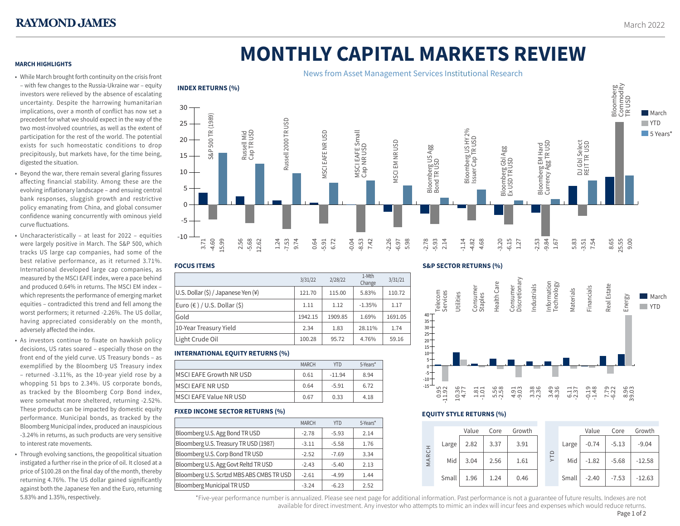# **MONTHLY CAPITAL MARKETS REVIEW**

### **MARCH HIGHLIGHTS**

- While March brought forth continuity on the crisis front – with few changes to the Russia-Ukraine war – equity investors were relieved by the absence of escalating uncertainty. Despite the harrowing humanitarian implications, over a month of conflict has now set a precedent for what we should expect in the way of the two most-involved countries, as well as the extent of participation for the rest of the world. The potential exists for such homeostatic conditions to drop precipitously, but markets have, for the time being, digested the situation.
- Beyond the war, there remain several glaring fissures affecting financial stability. Among these are the evolving inflationary landscape – and ensuing central bank responses, sluggish growth and restrictive policy emanating from China, and global consumer confidence waning concurrently with ominous yield curve fluctuations.
- Uncharacteristically at least for 2022 equities were largely positive in March. The S&P 500, which tracks US large cap companies, had some of the best relative performance, as it returned 3.71%. International developed large cap companies, as measured by the MSCI EAFE index, were a pace behind and produced 0.64% in returns. The MSCI EM index – which represents the performance of emerging market equities – contradicted this trend and fell among the worst performers; it returned -2.26%. The US dollar, having appreciated considerably on the month, adversely affected the index.
- As investors continue to fixate on hawkish policy decisions, US rates soared – especially those on the front end of the yield curve. US Treasury bonds – as exemplified by the Bloomberg US Treasury index – returned -3.11%, as the 10-year yield rose by a whopping 51 bps to 2.34%. US corporate bonds, as tracked by the Bloomberg Corp Bond index, were somewhat more sheltered, returning -2.52%. These products can be impacted by domestic equity performance. Municipal bonds, as tracked by the Bloomberg Municipal index, produced an inauspicious -3.24% in returns, as such products are very sensitive to interest rate movements.
- Through evolving sanctions, the geopolitical situation instigated a further rise in the price of oil. It closed at a price of \$100.28 on the final day of the month, thereby returning 4.76%. The US dollar gained significantly against both the Japanese Yen and the Euro, returning 5.83% and 1.35%, respectively.



## **FOCUS ITEMS**

|                                                    | 3/31/22 | 2/28/22 | 1-Mth<br>Change | 3/31/21 |
|----------------------------------------------------|---------|---------|-----------------|---------|
| U.S. Dollar $(\xi)$ / Japanese Yen $(\frac{1}{2})$ | 121.70  | 115.00  | 5.83%           | 110.72  |
| Euro $(\epsilon)$ / U.S. Dollar $(\xi)$            | 1.11    | 1.12    | $-1.35%$        | 1.17    |
| Gold                                               | 1942.15 | 1909.85 | 1.69%           | 1691.05 |
| 10-Year Treasury Yield                             | 2.34    | 1.83    | 28.11%          | 1.74    |
| Light Crude Oil                                    | 100.28  | 95.72   | 4.76%           | 59.16   |

# **INTERNATIONAL EQUITY RETURNS (%)**

|                                | <b>MARCH</b> | YTD      | 5-Years* |
|--------------------------------|--------------|----------|----------|
| MSCI EAFE Growth NR USD        | 0.61         | $-11.94$ | 8.94     |
| <b>IMSCI EAFE NR USD</b>       | 0.64         | $-5.91$  | 6.72     |
| <b>IMSCI EAFE Value NR USD</b> | 0.67         | 0.33     | 4.18     |

# **FIXED INCOME SECTOR RETURNS (%)**

|                                           | <b>MARCH</b> | <b>YTD</b> | 5-Years* |
|-------------------------------------------|--------------|------------|----------|
| Bloomberg U.S. Agg Bond TR USD            | $-2.78$      | $-5.93$    | 2.14     |
| Bloomberg U.S. Treasury TR USD (1987)     | $-3.11$      | $-5.58$    | 1.76     |
| Bloomberg U.S. Corp Bond TR USD           | $-2.52$      | $-7.69$    | 3.34     |
| Bloomberg U.S. Agg Govt Reltd TR USD      | $-2.43$      | $-5.40$    | 2.13     |
| Bloomberg U.S. Scrtzd MBS ABS CMBS TR USD | $-2.61$      | $-4.99$    | 1.44     |
| <b>Bloomberg Municipal TR USD</b>         | $-3.24$      | $-6.23$    | 2.52     |

#### **S&P SECTOR RETURNS (%)**



# **EQUITY STYLE RETURNS (%)**

|           |       | Value | Core | Growth |  |            |       | Value   | Core    | Growth   |
|-----------|-------|-------|------|--------|--|------------|-------|---------|---------|----------|
| H<br>MARC | Large | 2.82  | 3.37 | 3.91   |  | <b>ALA</b> | Large | $-0.74$ | $-5.13$ | $-9.04$  |
|           | Mid   | 3.04  | 2.56 | 1.61   |  |            | Mid   | $-1.82$ | $-5.68$ | $-12.58$ |
|           | Small | 1.96  | 1.24 | 0.46   |  |            | Small | $-2.40$ | $-7.53$ | $-12.63$ |

\*Five-year performance number is annualized. Please see next page for additional information. Past performance is not a guarantee of future results. Indexes are not 1 available for direct investment. Any investor who attempts to mimic an index will incur fees and expenses which would reduce returns. Page 1 of 2